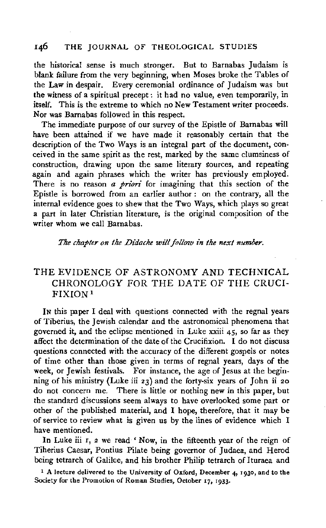the historical sense is much stronger. But to Barnabas Judaism is blank failure from the very beginning, when Moses broke the Tables of the Law in despair. Every ceremonial ordinance of Judaism was but the witness of a spiritual precept: it had no value, even temporarily, in itself. This is the extreme to which no New Testament writer proceeds. Nor was Barnabas followed in this respect.

The immediate purpose of our survey of the Epistle of Barnabas will have been attained if we have made it reasonably certain that the description of the Two Ways is an integral part of the document, conceived in the same spirit as the rest, marked by the same clumsiness of construction, drawing upon the same literary sources, and repeating again and again phrases which the writer has previously employed. There is no reason *a priori* for imagining that this section of the Epistle is borrowed from an earlier author : on the contrary, all the internal evidence goes to shew that the Two Ways, which plays so great a part in later Christian literature, is the original composition of the writer whom we call Barnabas.

*The chapter on the Didache will joll01u in the next number.* 

# THE EVIDENCE OF ASTRONOMY AND TECHNICAL CHRONOLOGY FOR THE DATE OF THE CRUCI-FIXION1

IN this paper I deal with questions connected with the regnal years of Tiberius, the Jewish calendar and the astronomical phenomena that governed it, and the eclipse mentioned in Luke xxiii 45, so far as they affect the determination of the date of the Crucifixion. I do not discuss questions connected with the accuracy of the different gospels or notes of time other than those given in terms of regnal years, days of the week, or Jewish festivals. For instance, the age of Jesus at the beginning of his ministry (Luke iii 23) and the forty-six years of John ii 20 do not concern me. There is little or nothing new in this paper, but the standard discussions seem always to have overlooked some part or other of the published material, and I hope, therefore, that it may be of service to review what is given us by the lines of evidence which I have mentioned.

In Luke iii r, 2 we read 'Now, in the fifteenth year of the reign of Tiberius Caesar, Pontius Pilate being governor of Judaea, and Herod being tetrarch of Galilee, and his brother Philip tetrarch of Ituraea and

1 A lecture delivered to the University of Oxford, December 4, 1930, and to the Society for the Promotion of Roman Studies, October 17, 1933.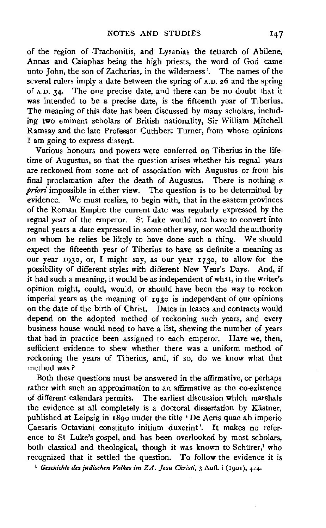of the region of Trachonitis, and Lysanias the tetrarch of Abilene, Annas and Caiaphas being the high priests, the word of God came unto John, the son of Zacharias, in the wilderness'. The names of the several rulers imply a date between the spring of A.D. 26 and the spring of A.D. 34· The one precise date, and there can be no doubt that it was intended to be a precise date, is the fifteenth year of Tiberius. The meaning of this date has been discussed by many scholars, including two eminent scholars of British nationality, Sir William Mitchell Ramsay and the late Professor Cuthbert Turner, from whose opinions I am going to express dissent.

Various honours and powers were conferred on Tiberius in the lifetime of Augustus, so that the question arises whether his regnal years are reckoned from some act of association with Augustus or from his final proclamation after the death of Augustus. There is nothing *a priori* impossible in either view. The question is to be determined by evidence. We must realize, to begin with, that in the eastern provinces of the Roman Empire the current date was regularly expressed by the regnal year of the emperor. St Luke would not have to convert into regnal years a date expressed in some other way, nor would the authority on whom he relies be likely to have done such a thing. We should expect the fifteenth year of Tiberius to have as definite a meaning as our year 1930, or, I might say, as our year 1730, to allow for the possibility of different styles with different New Year's Days. And, if it had such a meaning, it would be as independent of what, in the writer's opinion might, could, would, or should have been the way to reckon imperial years as the meaning of 1930 is independent of our opinions on the date of the birth of Christ. Dates in leases and contracts would depend on the adopted method of reckoning such years, and every business house would need to have a list, shewing the number of years that had in practice been assigned to each emperor. Have we, then, sufficient evidence to shew whether there was a uniform method of reckoning the years of Tiberius, and, if so, do we know what that method was?

Both these questions must be answered in the affirmative, or perhaps rather with such an approximation to an affirmative as the co-existence of different calendars permits. The earliest discussion which marshals the evidence at all completely is a doctoral dissertation by Kästner. published at Leipzig in 18go under the title 'De Aeris quae ab imperio Caesaris Octaviani constituto initium duxerint'. It makes no reference to St Luke's gospel, and has been overlooked by most scholars, both classical and theological, though it was known to Schürer,<sup>1</sup> who recognized that it settled the question. To follow the evidence it is

<sup>1</sup> Geschichte des jüdischen Volkes im ZA. Jesu Christi, 3 Aufl. i (1901), 444.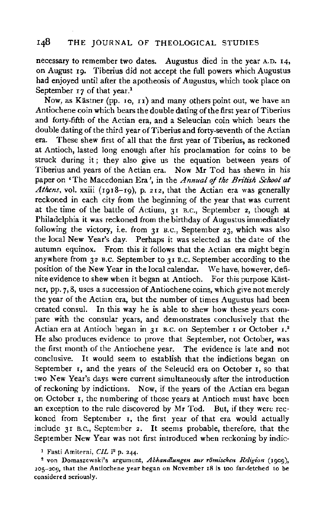necessary to remember two dates. Augustus died in the year A.D. 14, on August 19. Tiberius did not accept the full powers which Augustus had enjoyed until after the apotheosis of Augustus, which took place on September  $I7$  of that year.<sup>1</sup>

Now, as Kästner (pp. 10, 11) and many others point out, we have an Antiochene coin which bears the double dating of the first year of Tiberius and forty-fifth of the Actian era, and a Seleucian coin which bears the double dating of the third year of Tiberius and forty-seventh of the Actian<br>era. These shew first of all that the first year of Tiberius, as reckoned These shew first of all that the first year of Tiberius, as reckoned at Antioch, lasted long enough after his proclamation for coins to be struck during it; they also give us the equation between years of Tiberius and years of the Actian era. Now Mr Tod has shewn in his paper on 'The Macedonian Era', in the *Annual* of *the British School at Athens,* vol. xxiii (rgr8-rg), p. 212, that the Actian era was generally reckoned in each city from the beginning of the year that was current at the time of the battle of Actium, 3 r B.C., September *z,* though at Philadelphia it was reckoned from the birthday of Augustus immediately following the victory, i.e. from 31 B.C., September 23, which was also the local New Year's day. Perhaps it was selected as the date of the autumn equinox. From this it follows that the Actian era might begin anywhere from 32 B.c. September to 31 B.C. September according to the position of the New Year in the local calendar. We have, however, definite evidence to shew when it began at Antioch. For this purpose Kästner, pp. 7, 8, uses a succession of Antiochene coins, which give not merely the year of the Actian era, but the number of times Augustus had been created consul. In this way he is able to shew how these years compare with the consular years, and demonstrates conclusively that the Actian era at Antioch began in 31 B.C. on September 1 or October 1.<sup>2</sup> He also produces evidence to prove that September, not October, was the first month of the Antiochene year. The evidence is late and not conclusive. It would seem to establish that the indictions began on September  $r$ , and the years of the Seleucid era on October  $r$ , so that two New Year's days were current simultaneously after the introduction of reckoning by indictions. Now, if the years of the Actian era began on October r, the numbering of those years at Antioch must have been an exception to the rule discovered by Mr Tod. But, if they were reckoned from September r, the first year of that era would actually include 31 B.c., September *z.* It seems probable, therefore, that the September New Year was not first introduced when reckoning by indic-

2 van Domaszewski's argument, *Abhandlungen sur riimischen Religion* (1909),  $205-209$ , that the Antiochene year began on November 18 is too far-fetched to be considered seriously.

<sup>1</sup> Fasti Amiterni, *CIL* i2 p. 244.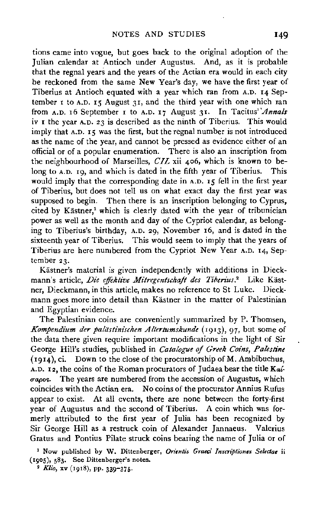tions came into vogue, but goes back to the original adoption of the Julian calendar at Antioch under Augustus. And, as it is probable that the regnal years and the years of the Actian era would in each city be reckoned from the same New Year's day, we have the first year of Tiberius at Antioch equated with a year which ran from A.D. 14 September  $r$  to A.D.  $r \leq A$ ugust 31, and the third year with one which ran from A.D. r6 September r to A.D. 17 August 31. In *Tacitus''Annals*  iv  $\bar{x}$  the year  $A, D, 23$  is described as the ninth of Tiberius. This would imply that A.D. 15 was the first, but the regnal number is not introduced as the name of the year, and cannot be pressed as evidence either of an official or of a popular enumeration. There is also an inscription from the neighbourhood of Marseilles, *CIL* xii 406, which is known to be-<br>long to a p, to and which is dated in the fifth year of Tiberius. This long to  $A$ . D. 19, and which is dated in the fifth year of Tiberius. would imply that the corresponding date in A.D. 15 fell in the first year of Tiberius, but does not tell us on what exact day the first year was supposed to begin. Then there is an inscription belonging to Cyprus. cited by Kästner,<sup>1</sup> which is clearly dated with the year of tribunician power as well as the month and day of the Cypriot calendar, as belonging to Tiberius's birthday, A. D. 29, November r6, and is dated in the sixteenth year of Tiberius. This would seem to imply that the years of Tiberius are here numbered from the Cypriot New Year A.D. 14, September 23.

Kastner's material is given independently with additions in Dieckmann's article, *Die effektive Mitregentschaft des Tiberius*.<sup>2</sup> Like Kästner, Dieckmann, in this article, makes no reference to St Luke. Dieckmann goes more into detail than Kästner in the matter of Palestinian and Egyptian evidence.

The Palestinian coins are conveniently summarized by P. Thomsen, *Kompendium der paliistinlschen Altertumskunde* (1913), 97, but some of the data there given require important modifications in the light of Sir George Hill's studies, published in *Catalogue of Greek Coins, Palestine*  (1914), ci. Down *to* the close of the procuratorship of M. Ambibuchus, A.D. r 2, the coins of the Roman procurators of Judaea bear the title Kat- $\sigma$ apos. The years are numbered from the accession of Augustus, which coincides with the Actian era. No coins of the procurator Annius Rufus appear to exist. At all events, there are none between the forty-first year of Augustus and the second of Tiberius. A coin which was formerly attributed to the first year of Julia has been recognized by Sir George Hill as a restruck coin of Alexander Jannaeus. Valerius Gratus and Pontius Pilate struck coins bearing the name of Julia or of

<sup>1</sup> Now published by W. Dittenberger, Orientis Graeci Inscriptiones Selectae ii (1905), 583. See Dittenberger's notes.<br><sup>2</sup> Klio, xv (1918), pp. 339-375.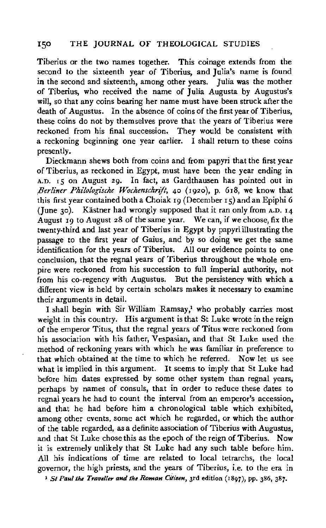Tiberius or the two names together. This coinage extends from the second to the sixteenth year of Tiberius, and Julia's name is found in the second and sixteenth, among other years. Julia was the mother of Tiberius, who received the name of Julia Augusta by Augustus's will, so that any coins bearing her name must have been struck after the death of Augustus. In the absence of coins of the first year of Tiberius, these coins do not by themselves prove that the years of Tiberius were reckoned from his final succession. They would be consistent with a reckoning beginning one year earlier. I shall return to these coins presently.

Dieckmann shews both from coins and from papyri that the first year of Tiberius, as reckoned in Egypt, must have been the year ending in A.D. r 5 on August 29. In fact, as Gardthausen has pointed out in *,Berliner Philologische Wochenschnft,* 40 (1920), p. 6r8, we know that this first year contained both a Choiak rg (December rs) and an Epiphi 6 (June 30). Kästner had wrongly supposed that it ran only from A.D.  $I_4$ August 19 to August 28 of the same year. We can, if we choose, fix the twenty·third and last year of Tiberius in Egypt by papyri illustrating the passage to the first year of Gains, and by so doing we get the same identification for the years of Tiberius. All our evidence points to one conclusion, that the regnal years of Tiberius throughout the whole empire were reckoned from his succession to full imperial authority, not from his eo-regency with Augustus. But the persistency with which a different view is held by certain scholars makes it necessary to examine their arguments in detail.

I shall begin with Sir William Ramsay,<sup>1</sup> who probably carries most weight in this country. His argument is that St Luke wrote in the reign of the emperor Titus, that the regnal years of Titus were reckoned from his association with his father, V espasian, and that St Luke used the method of reckoning years with which he was familiar in preference to that which obtained at the time to which he referred. Now let us see what is implied in this argument. It seems to imply that St Luke had before him dates expressed by some other system than regnal years, perhaps by names of consuls, that in order to reduce these dates to regnal years he had to count the interval from an emperor's accession, and that he had before him a chronological table which exhibited, among other events, some act which he regarded, or which the author of the table regarded, as a definite association of Tiberius with Augustus, and that St Luke chose this as the epoch of the reign of Tiberius. Now it is extremely unlikely that St Luke had any such table before him. All his indications of time are related to local tetrarchs, the local governor, the high priests, and the years of Tiberius, i.e. to the era in

<sup>1</sup> *St Paul the Traveller and the Roman Citisen*, 3rd edition (1897), pp. 386, 387.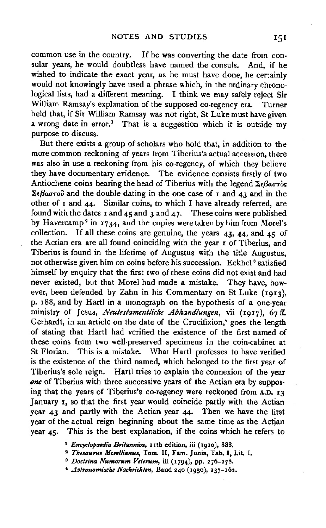common use in the country. If he was converting the date from consular years, he would doubtless have named the consuls. And, if he wished to indicate the exact year, as he must have done, he certainly would not knowingly have used a phrase which, in the ordinary chronological lists, had a different meaning. I think we may safely reject Sir William Ramsay's explanation of the supposed eo-regency era. Turner held that, if Sir William Ramsay was not right, St Luke must have given a wrong date in error.<sup>1</sup> That is a suggestion which it is outside my purpose to discuss.

But there exists a group of scholars who hold that, in addition to the more common reckoning of years from Tiberius's actual accession, there was also in use a reckoning from his eo-regency, of which they believe they have documentary evidence. The evidence consists firstly of two Antiochene coins bearing the head of Tiberius with the legend  $\Sigma_{\epsilon} \beta_{\alpha\sigma\tau\delta\varsigma}$  $\frac{d}{dx}$ *le Bacrov* and the double dating in the one case of x and  $\frac{d}{dx}$  and in the other of I and 44· Similar coins, to which I have already referred, are found with the dates  $\bar{x}$  and  $\bar{4}$   $\bar{5}$  and  $\bar{4}$   $\bar{7}$ . These coins were published by Havercamp<sup>2</sup> in 1734, and the copies were taken by him from Morel's collection. If all these coins are genuine, the years 43, 44, and *45* of the Actian era are all found coinciding with the year 1 of Tiberius, and Tiberius is found in the lifetime of Augustus with the title Augustus, not otherwise given him on coins before his succession. Eckhel<sup>3</sup> satisfied himself by enquiry that the first two of these coins did not exist and had never existed, but that Morel had made a mistake. They have, however, been defended by Zahn in his Commentary on St Luke ( $r_{913}$ ), p. r88, and by Hartl in a monograph on the hypothesis of a one-year ministry of Jesus, *Neutestamentliche Abhandlungen,* vii (r9r7), 67 ff. Gerhardt, in an article on the date of the Crucifixion,<sup>4</sup> goes the length of stating that Hartl had verified the existence of the first named of these coins from two well-preserved specimens in the coin-cabinet at St Florian. This is a mistake. What Hartl professes to have verified is the existence of the third named, which belonged to the first year of Tiberius's sole reign. Hartl tries to explain the connexion of the year *one* of Tiberius with three successive years of the Actian era by supposing that the years of Tiberius's eo-regency were reckoned from A.D. 13 January r, so that the first year would coincide partly with the Actian year 43 and partly with the Actian year 44. Then we have the first year of the actual reign beginning about the same time as the Actian year *45·* This is the best explanation, if the coins which he refers to

- 
- <sup>3</sup> Doctrina Numorum Veterum, iii (1794), pp. 276-278.
- <sup>4</sup> Astronomische Nachrichten, Band 240 (1930), 137-162.

<sup>1</sup>*Encyclopaedia Brilannica,* utb edition, iii (1910), 888. 2 *Thesaurus MoreUianus,* Tom. 11, Fam. Junia, Tab. l, LiL I.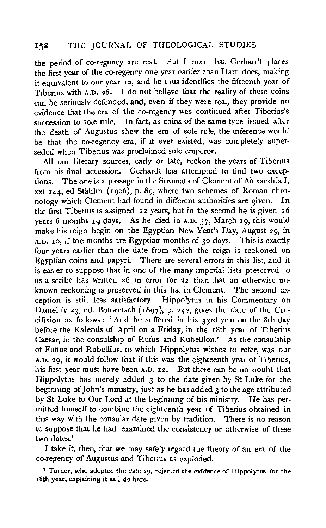the period of eo-regency are real. But I note that Gerhardt places the first year of the co-regency one year earlier than Hartl does, making it equivalent to our year  $I_2$ , and he thus identifies the fifteenth year of Tiberius with A.D. 26. I do not believe that the reality of these coins can be seriously defended, and, even if they were real, they provide no evidence that the era of the eo-regency was continued after Tiberius's succession to sole rule. In fact, as coins of the same type issued after the death of Augustus shew the era of sole rule, the inference would be that the eo-regency era, if it ever existed, was completely superseded when Tiberius was proclaimed sole emperor.

All our literary sources, early or late, reckon the years of Tiberius from his final accession. Gerhardt has attempted to find two exceptions. The one is a passage in the Stromata of Clement of Alexandria I, xxi  $144$ , ed Stählin ( $1906$ ), p. 89, where two schemes of Roman chronology which Clement had found in different authorities are given. In the first Tiberius is assigned 22 years, but in the second he is given *z6*  years 6 months 19 days. As he died in A.D. 37, March 19, this would make his reign begin on the Egyptian New Year's Day, August *zg,* in A.D. ro, if the months are Egyptian months of 30 days. This is exactly four years earlier than the date from which the reign is reckoned on Egyptian coins and papyri. There are several errors in this list, and it is easier to suppose that in one of the many imperial lists preserved to us a scribe has written z6 in error for 22 than that an otherwise unknown reckoning is preserved in this list in Clement. The second exception is still less satisfactory. Hippolytus in his Commentary on Daniel *iv* 23, ed. Bonwetsch (r897), p. 242, gives the date of the Crucifixion as follows : ' And he suffered in his 33rd year on the 8th day before the Kalends of April on a Friday, in the rSth year of Tiberius Caesar, in the consulship of Rufus and Rubellion.' As the consulship of Fufius and Rubellius, to which Hippolytus wishes to refer, was our A. D. *zg,* it would follow that if this was the eighteenth year of Tiberius, his first year must have been A.D. 12. But there can be no doubt that Hippolytus has merely added 3 to the date given by St Luke for the beginning of John's ministry, just as he has added 3 to the age attributed by St Luke to Our Lord at the beginning of his ministry. He has permitted himself to combine the eighteenth year of Tiberius obtained in this way with the consular date given by tradition. There is no reason to suppose that he had examined the consistency or otherwise of these two dates.'

I take it, then, that we may safely regard the theory of an era of the eo-regency of Augustus and Tiberius as exploded.

<sup>1</sup> Turner, who adopted the date 29, rejected the evidence of Hippolytus for the 18th year, explaining it as I do here.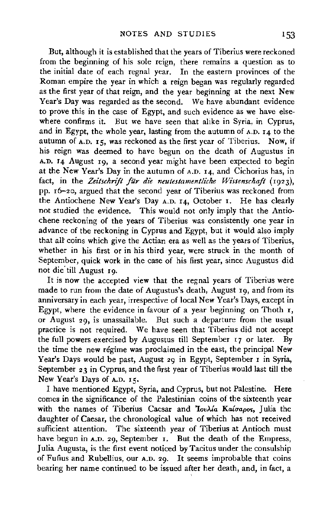But, although it is established that the years of Tiberius were reckoned from the beginning of his sole reign, there remains a question as to the initial date of each regnal year. In the eastern provinces of the Roman empire the year in which a reign began was regularly regarded as the first year of that reign, and the year beginning at the next New Year's Day was regarded as the second. We have abundant evidence to prove this in the case of Egypt, and such evidence as we have elsewhere confirms it. But we have seen that alike in Syria, in Cyprus, and in Egypt, the whole year, lasting from the autumn of A.D. r4 to the autumn of A.D. 15, was reckoned as the first year of Tiberius. Now, if his reign was deemed to have begun on the death of Augustus in A. D. 14 August 19, a second year might have been expected to begin at the New Year's Day in the autumn of A.D. I4, and Cichorius has, in fact, in the *Zeitschrift für die neutestamentliche Wissenschaft* (1923), pp. 16-20, argued that the second year of Tiberius was reckoned from the Antiochene New Year's Day A.D. I4, October 1. He has clearly not studied the evidence. This would not only imply that the Antio· chene reckoning of the years of Tiberius was consistently one year in advance of the reckoning in Cyprus and Egypt, but it would also imply that all coins which give the Actian era as well as the years of Tiberius, whether in his first or in his third year, were struck in the month of September, quick work in the case of his first year, since Augustus did not die' till August I9.

It is now the accepted view that the regnal years of Tiberius were made to run from the date of Augustus's death, August 19, and from its anniversary in each year, irrespective of local New Year's Days, except in Egypt, where the evidence in favour of a year beginning on Thoth r, or August 29, is unassailable. But such a departure from the usual practice is not required. We have seen that Tiberius did not accept the full powers exercised by Augustus till September 17 or later. By the time the new régime was proclaimed in the east, the principal New Year's Days would be past, August 29 in Egypt, September 1 in Syria, September 23 in Cyprus, and the first year of Tiberius would last till the New Year's Days of A.D. rs.

I have mentioned Egypt, Syria, and Cyprus, but not Palestine. Here comes in the significance of the Palestinian coins of the sixteenth year with the names of Tiberius Caesar and *Iov* $\lambda$ *ia* Kaioapos, Julia the daughter of Caesar, the chronological value of which has not received sufficient attention. The sixteenth year of Tiberius at Antioch must have begun in A.D. 29, September I. But the death of the Empress, Julia Augusta, is the first event noticed by Tacitus under the consulship of Fufius and Rubellius, our A.D. 29. It seems improbable that coins bearing her name continued to be issued after her death, and, in fact, a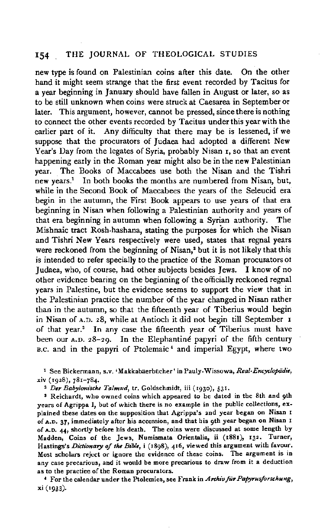new type is found on Palestinian coins after this date. On the other hand it might seem strange that the first event recorded by Tacitus for a year beginning in January should have fallen in August or later, so as to be still unknown when coins were struck at Caesarea in September or later. This argument, however, cannot be pressed, since there is nothing to connect the other events recorded by Tacitus under this year with the earlier part of it. Any difficulty that there may be is lessened, if we suppose that the procurators of Judaea had adopted a different New Year's Day from the legates of Syria, probably Nisan r, so that an event happening early in the Roman year might also be in the new Palestinian year. The Books of Maccabees use both the Nisan and the Tishri new years.<sup>1</sup> In both books the months are numbered from Nisan, but, while in the Second Book of Maccabees the years of the Seleucid era begin in the autumn, the First Book appears to use years of that era beginning in Nisan when following a Palestinian authority and years of that era beginning in autumn when following a Syrian authority. The Mishnaic tract Rosh-hashana, stating the purposes for which the Nisan and Tishri New Years respectively were used, states that regnal years were reckoned from the beginning of Nisan,<sup>2</sup> but it is not likely that this is intended to refer specially to the practice of the Roman procurators of Judaea, who, of course, had other subjects besides Jews. I know of no other evidence bearing on the beginning of the officially reckoned regnal years in Palestine, but the evidence seems to support the view that in the Palestinian practice the number of the year changed in Nisan rather than in the autumn, so that the fifteenth year of Tiberius would begin in Nisan of A.D. 28, while at Antioch it did not begin till September <sup>1</sup> of that year.3 In any case the fifteenth year of Tiberius must have been our  $A.D. 28-29.$  In the Elephantine papyri of the fifth century B.c. and in the papyri of Ptolemaic <sup>4</sup>and imperial Egypt, where two

<sup>1</sup> See Bickermann, s.v. 'Makkabäerbücher' in Pauly-Wissowa, *Real-Encyclopädie*, *x*iv (1928), 781-784.

<sup>2</sup> Der Babylonische Talmud, tr. Goldschmidt, iii (1930), 531.

s Reichardt, who owned coins which appeared to be dated in the 8th and 9th years of Agrippa I, but of which there is no example in the public collections, explained these dates on the supposition that Agrippa's and year began on Nisan I of A.D. 37, immediately after his accession, and that his gth year began on Nisan I of A. D. 44, shortly before his death. The coins were discussed at some length by Madden, Coins of the Jews, Numismata Orientalia, ii (1881), 132. Turner, Hastings's *Dictionary of the Bible*, i (1898), 416, viewed this argument with favour. Most scholars reject or ignore the evidence of these coins. The argument is in any case precarious, and it would be more precarious to draw from it a deduction as to the practice of the Roman procurators.

t For the calendar under the Ptolemies, see Frank in *ArchivfiirPapyrusforschung,*  xi (•933).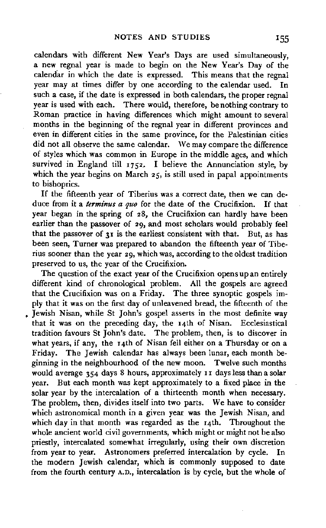calendars with different New Year's Days are used simultaneously, a new regnal year is made to begin on the New Year's Day of the calendar in which the date is expressed. This means that the regnal year may at times differ by one according to the calendar used. In such a case, if the date is expressed in both calendars, the proper regnal year is used with each. There would, therefore, be nothing contrary to Roman practice in having differences which might amount to several months in the beginning of the regnal year in different provinces and even in different cities in the same province, for the Palestinian cities did not all observe the same calendar. We may compare the difference of styles which was common in Europe in the middle ages, and which survived in England till  $1752$ . I believe the Annunciation style, by which the year begins on March 25, is still used in papal appointments to bishoprics.

If the fifteenth year of Tiberius was a correct date, then we can de· duce from it a *terminus a quo* for the date of the Crucifixion. If that year began in the spring of 28, the Crucifixion can hardly have been earlier than the passover of 29, and most scholars would probably feel that the passover of  $3I$  is the earliest consistent with that. But, as has been seen. Turner was prepared to abandon the fifteenth year of Tiberius sooner than the year 29, which was, according to the oldest tradition preserved to us, the year of the Crucifixion.

The question of the exact year of the Crucifixion opens up an entirely different kind of chronological problem. All the gospels are agreed that the Crucifixion was on a Friday. The three synoptic gospels imply that it was on the first day of unleavened bread, the fifteenth of the . Jewish Nisan, while St John's gospel asserts in the most definite way that it was on the preceding day, the 14th of Nisan. Ecclesiastical tradition favours St John's date. The problem, then, is to discover in what years, if any, the 14th of Nisan fell either on a Thursday or on a Friday. The Jewish calendar has always been lunar, each month beginning in the neighbourhood of the new moon. Twelve such months would average  $354$  days 8 hours, approximately  $11$  days less than a solar vear. But each month was kept approximately to a fixed place in the But each month was kept approximately to a fixed place in the solar year by the intercalation of a thirteenth month when necessary. The problem, then, divides itself into two parts. We have to consider which astronomical month in a given year was the Jewish Nisan, and which day in that month was regarded as the r<sub>4</sub>th. Throughout the whole ancient world civil governments, which might or might not be also priestly, intercalated somewhat irregularly, using their own discretion from year to year. Astronomers preferred intercalation by cycle. In the modern Jewish calendar, which is commonly supposed to date from the fourth century A.D., intercalation is by cycle, but the whole of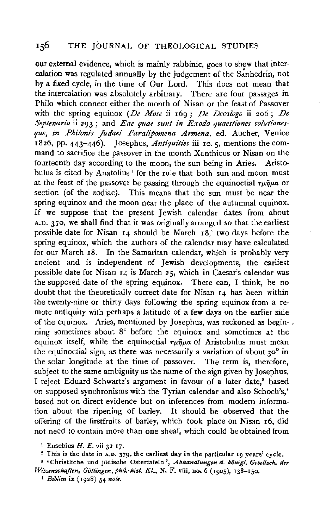our external evidence, which is mainly rabbinic, goes to shew that intercalation was regulated annually by the judgement of the Sanhedrin, not by a fixed cycle, in the time of Our Lord. This does not mean that the intercalation was absolutely arbitrary. There are four passages in Philo which connect either the month of Nisan or the feast of Passover with the spring equinox *(De Mose* ii r6g ; *De Decalogo* ii 206; *De*  Septenario ii 293; and *Eae quae sunt in Exodo quaestiones solutionesque, in Philonis Judaei Paralipomena Armena,* ed. Aucher, Venice 1826, pp. 443-446). Josephus, *Antiquities* iii ro. *5,* mentions the command to sacrifice the passover in the month Xanthicus or Nisan on the fourteenth day according to the moon, the sun being in Aries. Aristobulus is cited by Anatolius<sup>1</sup> for the rule that both sun and moon must at the feast of the passover be passing through the equinoctial  $\tau \mu \hat{\eta} \mu a$  or section (of the zodiac). This means that the sun must be near the spring equinox and the moon near the place of the autumnal equinox. If we suppose that the present Jewish calendar dates from about A.D. 370, we shall find that it was originally arranged so that the earliest possible date for Nisan  $14$  should be March  $18$ , two days before the spring equinox, which the authors of the calendar may have calculated for our March 18. In the Samaritan calendar, which is probably very ancient and is independent of Jewish developments, the earliest possible date for Nisan 14 is March 25, which in Caesar's calendar was the supposed date of the spring equinox. There can, I think, be no doubt that the theoretically correct date for Nisan  $I_4$  has been within the twenty-nine or thirty days following the spring equinox from a remote antiquity with perhaps a latitude of a few days on the earlier side of the equinox. Aries, mentioned by Josephus, was reckoned as begin-, ning sometimes about 8° before the equinox and sometimes at the equinox itself, while the equinoctial  $\tau \mu \hat{\eta} \mu \alpha$  of Aristobulus must mean the equinoctial sign, as there was necessarily a variation of about  $30^\circ$  in the solar longitude at the time of passover. The term is, therefore, subject to the same ambiguity as the name of the sign given by Josephus. I reject Eduard Schwartz's argument in favour of a later date.<sup>3</sup> based on supposed synchronisms with the Tyrian calendar and also Schoch's,<sup>4</sup> based not on direct evidence but on inferences from modern information about the ripening of barley. It should be observed that the offering of the firstfruits of barley, which took place on Nisan r6, did not need *to* contain more than one sheaf, which could be obtained from

<sup>3</sup> 'Christliche und jüdische Ostertafeln', Abhandlungen d. königl. Gesellsch. der *Wissenschaften, Gottingen,pht1.·hist. Kl.,* N. F. viii, no. 6 (1905), 138-150.

<sup>&</sup>lt;sup>1</sup> Eusebius  $H. E.$  vii 32 17.

<sup>&</sup>lt;sup>2</sup> This is the date in  $A.D.$   $379$ , the earliest day in the particular 19 years' cycle.

<sup>4</sup> *BibliCa* ix ( 1928) 54 *note.*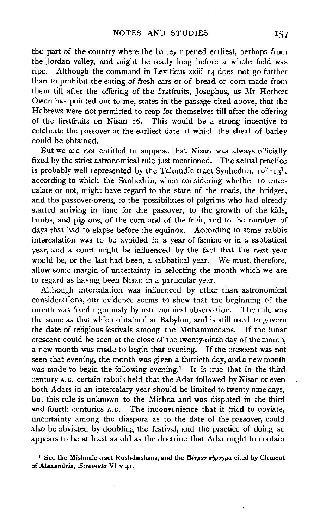the part of the country where the barley ripened earliest, perhaps from the Jordan valley, and might be ready long before a whole field was ripe. Although the command in Leviticus xxiii 14 does not go further than to prohibit the eating of fresh ears or of bread or corn made from them till after the offering of the firstfruits, Josephus, as Mr Herbert Owen has pointed out to me, states in the passage cited above, that the Hebrews were not permitted to reap for themselves till after the offering of the firstfruits on Nisan r6. This would be a strong incentjve to celebrate the passover at the earliest date at which the sheaf of barley could be obtained.

But we are not entitled to suppose that Nisan was always officially fixed by the strict astronomical rule just mentioned. The actual practice is probably well represented by the Talmudic tract Synhedrin,  $I_0b-13b$ , according to which the Sanhedrin, when considering whether to intercalate or not, might have regard to the state of the roads, the bridges, and the passover-ovens, to the possibilities of pilgrims who had already started arriving in time for the passover, to the growth of the kids, lambs, and pigeons, of the corn and of the fruit, and to the number of days that had to elapse before the equinox. According to some rabbis intercalation was to be avoided in a year of famine or in a sabbatical year, and a court might be influenced by the fact that the next year would be, or the last had been, a sabbatical year. We must, therefore, allow some margin of uncertainty in selecting the month which we are to regard as having been Nisan in a particular year.

Although intercalation was influenced by other than astronomical considerations, our evidence seems to shew that the beginning of the month was fixed rigorously by astronomical observation. The rule was the same as that which obtained at Babylon, and is still used to govern the date of religious festivals among the Mohammedans. If the lunar crescent could be seen at the close of the twenty-ninth day of the month, a new month was made to begin that evening. If the crescent was not seen that evening, the month was given a thirtieth day, and a new month was made to begin the following evening.<sup>1</sup> It is true that in the third century A.D. certain rabbis held that the Adar followed by Nisan or even both Adars in an intercalary year should be limited to twenty-nine days, but this rule is unknown to the Mishna and was disputed in the third and fourth centuries A.D. The inconvenience that it tried to obviate. The inconvenience that it tried to obviate, uncertainty among the diaspora as to the date of the passover, could also be obviated by doubling the festival, and the practice of doing so appears to be at least as old as the doctrine that Adar ought to contain

<sup>1</sup> See the Mishnaic tract Rosh-hashana, and the *Ilit pov Knovypa* cited by Clement of Alexandria, *Stromata* VI v 41.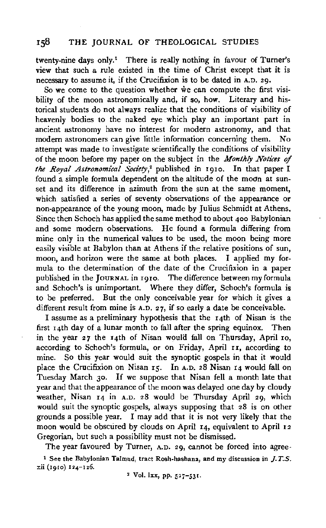twenty-nine days only.<sup>1</sup> There is really nothing in favour of Turner's view that such a rule existed in the time of Christ except that it is necessary to assume it, if the Crucifixion is to be dated in A.D. 29.

So we come to the question whether we can compute the first visibility of the moon astronomically and, if so, how. Literary and historical students do not always realize that the conditions of visibility of heavenly bodies to the naked eye which play an important part in ancient astronomy have no interest for modern astronomy, and that modern astronomers can give little information concerning them. attempt was made to investigate scientifically the conditions of visibility of the moon before my paper on the subject in the *Monthly Notices* of *the Royal Astronomical Sodety,2* published in 1910. In that paper I found a simple formula dependent on the altitude of the moon at sunset and its difference in azimuth from the sun at the same moment, which satisfied a series of seventy observations of the appearance or non-appearance of the young moon, made by Julius Schmidt at Athens. Since then Schoch has applied the same method to about 400 Babylonian and some modern observations. He found a formula differing from mine only in the numerical values to be used, the moon being more easily visible at Babylon than at Athens if the relative positions of sun, moon, and horizon were the same at both places. I applied my formula to the determination of the date of the Crucifixion in a paper published in the JouRNAL in 1910. The difference between my formula and Schoch's is unimportant. Where they differ, Schoch's formula is to be preferred. But the only conceivable year for which it gives a different result from mine is A.D. 27, if so early a date be conceivable.

I assume as a preliminary hypothesis that the 14th of Nisan is the first 14th day of a lunar month to fall after the spring equinox. Then in the year 27 the 14th of Nisan would fall on Thursday, April 10, according to Schoch's formula, or on Friday, April II, according to mine. So this year would suit the synoptic gospels in that it would place the Crucifixion on Nisan 15. In A.D. 28 Nisan 14 would fall on Tuesday March 30. If we suppose that Nisan fell a month late that year and that the appearance of the moon was delayed one day by cloudy weather, Nisan 14 in A.D. 28 would be Thursday April 29, which would suit the synoptic gospels, always supposing that 28 is on other grounds a possible year. I may add that it is not very likely that the moon would be obscured by clouds on April  $14$ , equivalent to April  $12$ Gregorian, but such a possibility must not be dismissed.

The year favoured by Turner, A.D. 29, cannot be forced into agree-1 See the Babylonian Talmud, tract Rosh-hashana, and my discussion in *j.* T.S. xii (1910) 124-126.

~ Vol. lxx, pp. 527-531.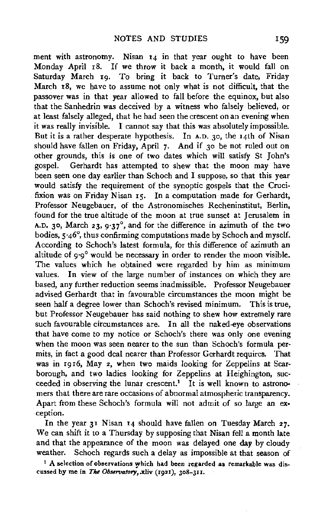ment with astronomy. Nisan  $t_4$  in that year ought to have been Monday April r8. If we throw it back a month, it would fall on Saturday March 19. To bring it back to Turner's date, Friday March 18, we have to assume not only what is not difficult, that the passover was in that year allowed to fall before the equinox, but also that the Sanhedrin was deceived by a witness who falsely believed, or at least falsely alleged, that he had seen the crescent on an evening when it was really invisible. I cannot say that this was absolutely impossible. But it is a rather desperate hypothesis. In A.D. 30, the 14th of Nisan should have fallen on Friday, April 7. And if 30 be not ruled out on other grounds, this is one of two dates which will satisfy St John's gospel. Gerhardt has attempted to shew that the moon may have been seen one day earlier than Schoch and I suppose, so that this year would satisfy the requirement of the synoptic gospels that the Crucifixion was on Friday Nisan 15. In a computation made for Gerhardt, Professor Neugebauer, of the Astronomisches Recheninstitut, Berlin, found for the true altitude of the moon at true sunset at Jerusalem in A.D. 30, March 23, 9:37°, and for the difference in azimuth of the two bodies, 5·46°, thus confirming computations made by Schoch and myself. According to Schoch's latest formula, for this difference of azimuth an altitude of  $9.9^\circ$  would be necessary in order to render the moon visible. The values which he obtained were regarded by him as minimum values. In view of the large number of instances on which they are based, any further reduction seems inadmissible. Professor Neugebauer advised Gerhardt that in favourable circumstances the moon might be seen half a degree lower than Schoch's revised minimum. This is true, but Professor Neugebauer has said nothing to shew how extremely rare such favourable circumstances are. In all the naked-eye observations that have come to my notice or Schoch's there was only one evening when the moon was seen nearer to the sun than Schoch's formula permits, in fact a good deal nearer than Professor Gerhardt requires. That was in 1916, May 2, when two maids looking for Zeppelins at Scarborough, and two ladies looking for Zeppelins at Heighington, succeeded in observing the lunar crescent.<sup>1</sup> It is well known to astronomers that there are rare occasions of abnormal atmospheric transparency. Apart from these Schoch's formula will not admit of so large an ex· ception.

In the year 31 Nisan 14 should have fallen on Tuesday March 27. We can shift it to a Thursday by supposing that Nisan fell a month late and that the appearance of the moon was delayed one day by cloudy weather. Schoch regards such a delay as impossible at that season of <sup>1</sup> A selection of observations which had been regarded as remarkable was dis-

cussed by me in *The Observatory*, xliv (1921), 308-311.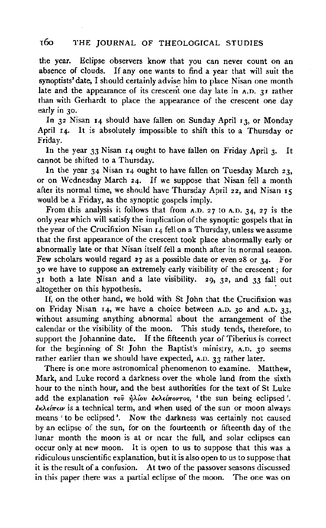the year. Eclipse observers know that you can never count on an absence of clouds. If any one wants to find a year that will suit the synoptists' date, I should certainly advise him to place Nisan one month late and the appearance of its crescent one day late in A.D. 31 rather than with Gerhardt to place the appearance of the crescent one day early in 30.

In  $32$  Nisan 14 should have fallen on Sunday April 13, or Monday April 14. It is absolutely impossible to shift this to a Thursday or Friday.

In the year 33 Nisan  $I_4$  ought to have fallen on Friday April 3. It cannot be shifted to a Thursday.

In the year 34 Nisan 14 ought to have fallen on Tuesday March 23, or on Wednesday March 24. If we suppose that Nisan fell a month after its normal time, we should have Thursday April 22, and Nisan 15 would be a Friday, as the synoptic gospels imply.

From this analysis it follows that from A.D. 27 to A.D. 34, 27 is the only year which will satisfy the implication of the synoptic gospels that in the year of the Crucifixion Nisan 14 fell on a Thursday, unless we assume that the first appearance of the crescent took place abnormally early or abnormally late or that Nisan itself fell a month after its normal season. Few scholars would regard 27 as a possible date or even 28 or 34. For 30 we have to suppose an extremely early visibility of the crescent; for 31 both a late Nisan and a late visibility. 29, 32, and 33 fall out altogether on this hypothesis.

If, on the other hand, we hold with St John that the Crucifixion was on Friday Nisan 14, we have a choice between A.D. 30 and A.D. 33, without assuming anything abnormal about the arrangement of the calendar or the visibility of the moon. This study tends, therefore, to support the Johannine date. If the fifteenth year of Tiberius is correct for the beginning of St John the Baptist's ministry, A.D. 30 seems rather earlier than we should have expected, A.D. 33 rather later.

There is one more astronomical phenomenon to examine. Matthew, Mark, and Luke record a darkness over the whole land from the sixth hour to the ninth hour, and the best authorities for the text of St Luke add the explanation  $\tau v \hat{v}$   $\dot{\eta} \lambda \dot{\omega} v$   $\dot{\epsilon} \kappa \lambda \epsilon \dot{\omega} \tau \omega \tau \omega s$ , 'the sun being eclipsed'. *Eκλείπειν* is a technical term, and when used of the sun or moon always means' to be eclipsed'. Now the darkness was certainly not caused by an eclipse of the sun, for on the fourteenth or fifteenth day of the lunar month the moon is at or near the full, and solar eclipses can occur only at new moon. It is open to us to suppose that this was a ridiculous unscientific explanation, but it is also open to us to suppose that it is the result of a confusion. At two of the passover seasons discussed in this paper there was a partial eclipse of the moon. The one was on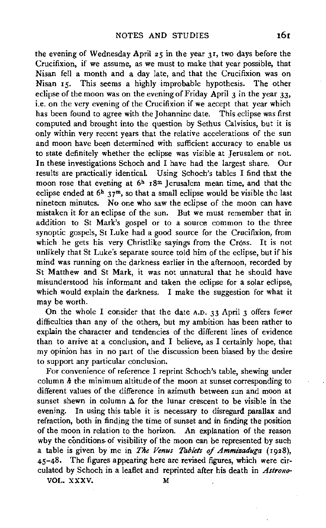the evening of Wednesday April 25 in the year 3r, two days before the Crucifixion, if we assume, as we must to make that year possible, that Nisan fell a month and a day late, and that the Crucifixion was on Nisan 15. This seems a highly improbable hypothesis. The other eclipse of the moon was on the evening of Friday April *3* in the year 33, i.e. on the very evening of the Crucifixion if we accept that year which has been found to agree with the Johannine date. This eclipse was first computed and brought into the question by Sethus Calvisius, but it is only within very recent years that the relative accelerations of the sun and moon have been determined with sufficient accuracy to enable us to state definitely whether the edipse was visible at Jerusalem or not. In these investigations Schoch and I have had the largest share. Our results are practically identical. Using Schoch's tables I find that the moon rose that evening at  $6<sup>h</sup>$  r 8<sup>m</sup> Jerusalem mean time, and that the eclipse ended at  $6<sup>h</sup>$  37<sup>m</sup>, so that a small eclipse would be visible the last nineteen minutes. No one who saw the eclipse of the moon can have mistaken it for an eclipse of the sun. But we must remember that in addition to St Mark's gospel or to a source common to the three synoptic gospels, St Luke had a good source for the Crucifixion, from which he gets his very Christlike sayings from the Cross. It is not unlikely that St Luke's separate source told him of the eclipse, but if his mind was running on the darkness earlier in the afternoon, recorded by St Matthew and St Mark, it was not unnatural that he should have misunderstood his informant and taken the eclipse for a solar eclipse, which would explain the darkness. I make the suggestion for what it may be worth.

On the whole I consider that the date A.D. 33 April 3 offers fewer difficulties than any of the others, but my ambition has been rather to explain the character and tendencies of the different lines of evidence than to arrive at a conclusion, and I believe, as I certainly hope, that my opinion has in no part of the discussion been biased by the desire to support any particular conclusion.

For convenience of reference I reprint Schoch's table, shewing under column *h* the minimum altitude of the moon at sunset corresponding to different values of the difference in azimuth between sun and moon at sunset shewn in column  $\Delta$  for the lunar crescent to be visible in the evening. In using this table it is necessary to disregard parallax and refraction, both in finding the time of sunset and in finding the position of the moon in relation *to* the horizon. An explanation of the reason why the conditions of visibility of the moon can be represented by such a table is given by me in *The Venus Tablets* of *Ammisaduga* (1928), 45-48. The figures appearing here are revised figures, which were circulated by Schoch in a leaflet and reprinted after his death in *Astrono-*

VOL. XXXV. M

16г